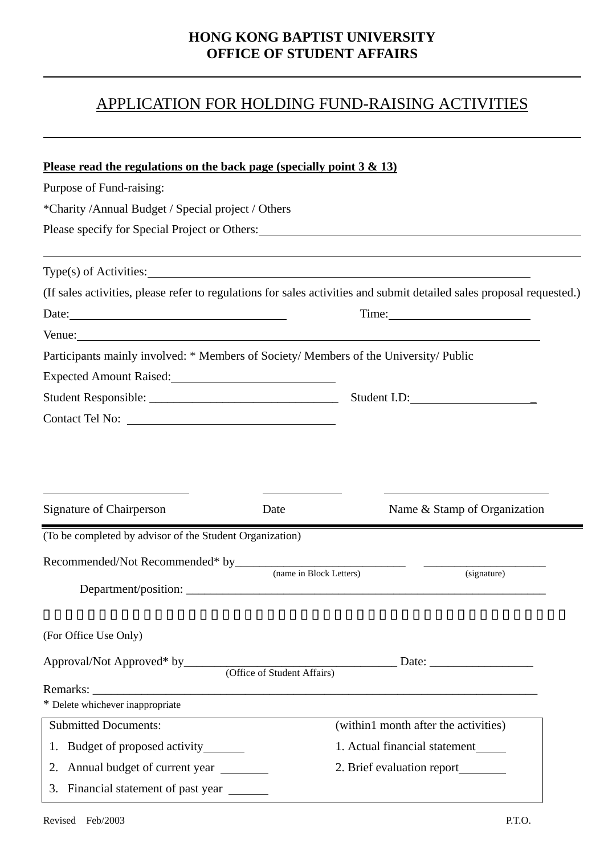## **HONG KONG BAPTIST UNIVERSITY OFFICE OF STUDENT AFFAIRS**

## APPLICATION FOR HOLDING FUND-RAISING ACTIVITIES

| Please read the regulations on the back page (specially point $3 \& 13$ )<br>Purpose of Fund-raising:                                                                                                 |                             |                                                          |  |
|-------------------------------------------------------------------------------------------------------------------------------------------------------------------------------------------------------|-----------------------------|----------------------------------------------------------|--|
| *Charity /Annual Budget / Special project / Others                                                                                                                                                    |                             |                                                          |  |
| Please specify for Special Project or Others: 1992. The Special Project or Others:                                                                                                                    |                             |                                                          |  |
|                                                                                                                                                                                                       |                             |                                                          |  |
| $Type(s)$ of Activities:                                                                                                                                                                              |                             |                                                          |  |
| (If sales activities, please refer to regulations for sales activities and submit detailed sales proposal requested.)                                                                                 |                             |                                                          |  |
| Date: $\frac{1}{2}$ Date:                                                                                                                                                                             |                             | Time: 2008                                               |  |
|                                                                                                                                                                                                       |                             |                                                          |  |
| Participants mainly involved: * Members of Society/ Members of the University/ Public                                                                                                                 |                             |                                                          |  |
| Expected Amount Raised:<br><u>Expected</u> Amount Raised:                                                                                                                                             |                             |                                                          |  |
|                                                                                                                                                                                                       |                             |                                                          |  |
|                                                                                                                                                                                                       |                             |                                                          |  |
|                                                                                                                                                                                                       |                             |                                                          |  |
|                                                                                                                                                                                                       | Date                        | Name & Stamp of Organization                             |  |
|                                                                                                                                                                                                       |                             |                                                          |  |
|                                                                                                                                                                                                       |                             |                                                          |  |
|                                                                                                                                                                                                       | (name in Block Letters)     | (signature)                                              |  |
| Department/position:                                                                                                                                                                                  |                             |                                                          |  |
|                                                                                                                                                                                                       |                             |                                                          |  |
|                                                                                                                                                                                                       |                             | Date: $\frac{1}{\sqrt{1-\frac{1}{2}} \cdot \frac{1}{2}}$ |  |
|                                                                                                                                                                                                       | (Office of Student Affairs) |                                                          |  |
|                                                                                                                                                                                                       |                             |                                                          |  |
| <b>Submitted Documents:</b>                                                                                                                                                                           |                             | (within1 month after the activities)                     |  |
| 1. Budget of proposed activity_______                                                                                                                                                                 |                             | 1. Actual financial statement                            |  |
| <b>Signature of Chairperson</b><br>(To be completed by advisor of the Student Organization)<br>(For Office Use Only)<br>Approval/Not Approved* by____<br>Remarks:<br>* Delete whichever inappropriate |                             | 2. Brief evaluation report                               |  |